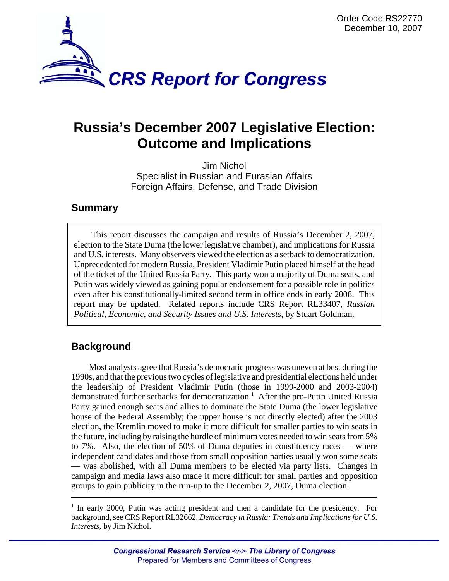

# **Russia's December 2007 Legislative Election: Outcome and Implications**

Jim Nichol Specialist in Russian and Eurasian Affairs Foreign Affairs, Defense, and Trade Division

# **Summary**

This report discusses the campaign and results of Russia's December 2, 2007, election to the State Duma (the lower legislative chamber), and implications for Russia and U.S. interests. Many observers viewed the election as a setback to democratization. Unprecedented for modern Russia, President Vladimir Putin placed himself at the head of the ticket of the United Russia Party. This party won a majority of Duma seats, and Putin was widely viewed as gaining popular endorsement for a possible role in politics even after his constitutionally-limited second term in office ends in early 2008. This report may be updated. Related reports include CRS Report RL33407, *Russian Political, Economic, and Security Issues and U.S. Interests*, by Stuart Goldman.

# **Background**

Most analysts agree that Russia's democratic progress was uneven at best during the 1990s, and that the previous two cycles of legislative and presidential elections held under the leadership of President Vladimir Putin (those in 1999-2000 and 2003-2004) demonstrated further setbacks for democratization.<sup>1</sup> After the pro-Putin United Russia Party gained enough seats and allies to dominate the State Duma (the lower legislative house of the Federal Assembly; the upper house is not directly elected) after the 2003 election, the Kremlin moved to make it more difficult for smaller parties to win seats in the future, including by raising the hurdle of minimum votes needed to win seats from 5% to 7%. Also, the election of 50% of Duma deputies in constituency races — where independent candidates and those from small opposition parties usually won some seats — was abolished, with all Duma members to be elected via party lists. Changes in campaign and media laws also made it more difficult for small parties and opposition groups to gain publicity in the run-up to the December 2, 2007, Duma election.

<sup>&</sup>lt;sup>1</sup> In early 2000, Putin was acting president and then a candidate for the presidency. For background, see CRS Report RL32662, *Democracy in Russia: Trends and Implications for U.S. Interests*, by Jim Nichol.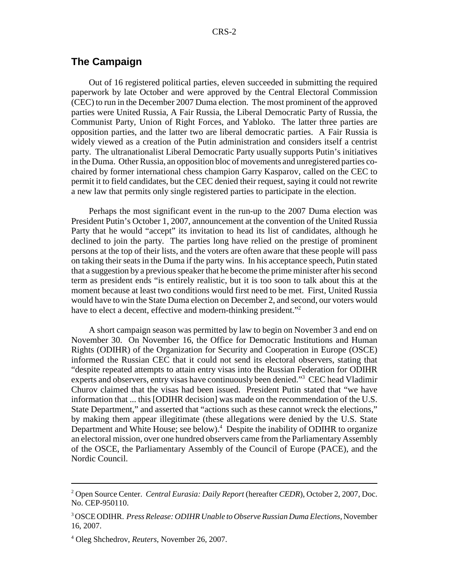#### **The Campaign**

Out of 16 registered political parties, eleven succeeded in submitting the required paperwork by late October and were approved by the Central Electoral Commission (CEC) to run in the December 2007 Duma election. The most prominent of the approved parties were United Russia, A Fair Russia, the Liberal Democratic Party of Russia, the Communist Party, Union of Right Forces, and Yabloko. The latter three parties are opposition parties, and the latter two are liberal democratic parties. A Fair Russia is widely viewed as a creation of the Putin administration and considers itself a centrist party. The ultranationalist Liberal Democratic Party usually supports Putin's initiatives in the Duma. Other Russia, an opposition bloc of movements and unregistered parties cochaired by former international chess champion Garry Kasparov, called on the CEC to permit it to field candidates, but the CEC denied their request, saying it could not rewrite a new law that permits only single registered parties to participate in the election.

Perhaps the most significant event in the run-up to the 2007 Duma election was President Putin's October 1, 2007, announcement at the convention of the United Russia Party that he would "accept" its invitation to head its list of candidates, although he declined to join the party. The parties long have relied on the prestige of prominent persons at the top of their lists, and the voters are often aware that these people will pass on taking their seats in the Duma if the party wins. In his acceptance speech, Putin stated that a suggestion by a previous speaker that he become the prime minister after his second term as president ends "is entirely realistic, but it is too soon to talk about this at the moment because at least two conditions would first need to be met. First, United Russia would have to win the State Duma election on December 2, and second, our voters would have to elect a decent, effective and modern-thinking president."<sup>2</sup>

A short campaign season was permitted by law to begin on November 3 and end on November 30. On November 16, the Office for Democratic Institutions and Human Rights (ODIHR) of the Organization for Security and Cooperation in Europe (OSCE) informed the Russian CEC that it could not send its electoral observers, stating that "despite repeated attempts to attain entry visas into the Russian Federation for ODIHR experts and observers, entry visas have continuously been denied."<sup>3</sup> CEC head Vladimir Churov claimed that the visas had been issued. President Putin stated that "we have information that ... this [ODIHR decision] was made on the recommendation of the U.S. State Department," and asserted that "actions such as these cannot wreck the elections," by making them appear illegitimate (these allegations were denied by the U.S. State Department and White House; see below).<sup>4</sup> Despite the inability of ODIHR to organize an electoral mission, over one hundred observers came from the Parliamentary Assembly of the OSCE, the Parliamentary Assembly of the Council of Europe (PACE), and the Nordic Council.

<sup>2</sup> Open Source Center. *Central Eurasia: Daily Report* (hereafter *CEDR*), October 2, 2007, Doc. No. CEP-950110.

<sup>3</sup> OSCE ODIHR. *Press Release: ODIHR Unable to Observe Russian Duma Elections*, November 16, 2007.

<sup>4</sup> Oleg Shchedrov, *Reuters*, November 26, 2007.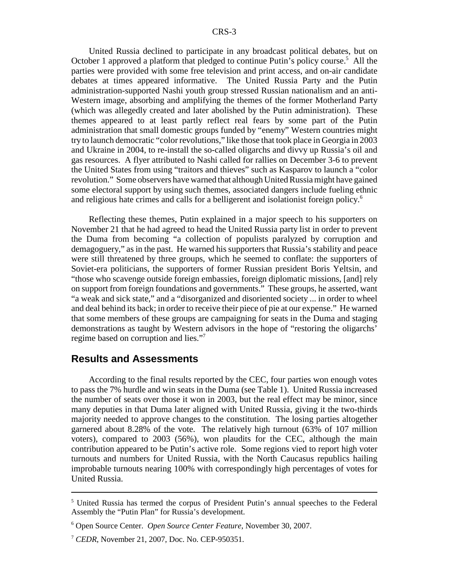United Russia declined to participate in any broadcast political debates, but on October 1 approved a platform that pledged to continue Putin's policy course.<sup>5</sup> All the parties were provided with some free television and print access, and on-air candidate debates at times appeared informative. The United Russia Party and the Putin administration-supported Nashi youth group stressed Russian nationalism and an anti-Western image, absorbing and amplifying the themes of the former Motherland Party (which was allegedly created and later abolished by the Putin administration). These themes appeared to at least partly reflect real fears by some part of the Putin administration that small domestic groups funded by "enemy" Western countries might try to launch democratic "color revolutions," like those that took place in Georgia in 2003 and Ukraine in 2004, to re-install the so-called oligarchs and divvy up Russia's oil and gas resources. A flyer attributed to Nashi called for rallies on December 3-6 to prevent the United States from using "traitors and thieves" such as Kasparov to launch a "color revolution." Some observers have warned that although United Russia might have gained some electoral support by using such themes, associated dangers include fueling ethnic and religious hate crimes and calls for a belligerent and isolationist foreign policy.<sup>6</sup>

Reflecting these themes, Putin explained in a major speech to his supporters on November 21 that he had agreed to head the United Russia party list in order to prevent the Duma from becoming "a collection of populists paralyzed by corruption and demagoguery," as in the past. He warned his supporters that Russia's stability and peace were still threatened by three groups, which he seemed to conflate: the supporters of Soviet-era politicians, the supporters of former Russian president Boris Yeltsin, and "those who scavenge outside foreign embassies, foreign diplomatic missions, [and] rely on support from foreign foundations and governments." These groups, he asserted, want "a weak and sick state," and a "disorganized and disoriented society ... in order to wheel and deal behind its back; in order to receive their piece of pie at our expense." He warned that some members of these groups are campaigning for seats in the Duma and staging demonstrations as taught by Western advisors in the hope of "restoring the oligarchs' regime based on corruption and lies."7

#### **Results and Assessments**

According to the final results reported by the CEC, four parties won enough votes to pass the 7% hurdle and win seats in the Duma (see Table 1). United Russia increased the number of seats over those it won in 2003, but the real effect may be minor, since many deputies in that Duma later aligned with United Russia, giving it the two-thirds majority needed to approve changes to the constitution. The losing parties altogether garnered about 8.28% of the vote. The relatively high turnout (63% of 107 million voters), compared to 2003 (56%), won plaudits for the CEC, although the main contribution appeared to be Putin's active role. Some regions vied to report high voter turnouts and numbers for United Russia, with the North Caucasus republics hailing improbable turnouts nearing 100% with correspondingly high percentages of votes for United Russia.

<sup>&</sup>lt;sup>5</sup> United Russia has termed the corpus of President Putin's annual speeches to the Federal Assembly the "Putin Plan" for Russia's development.

<sup>6</sup> Open Source Center. *Open Source Center Feature*, November 30, 2007.

<sup>7</sup> *CEDR*, November 21, 2007, Doc. No. CEP-950351.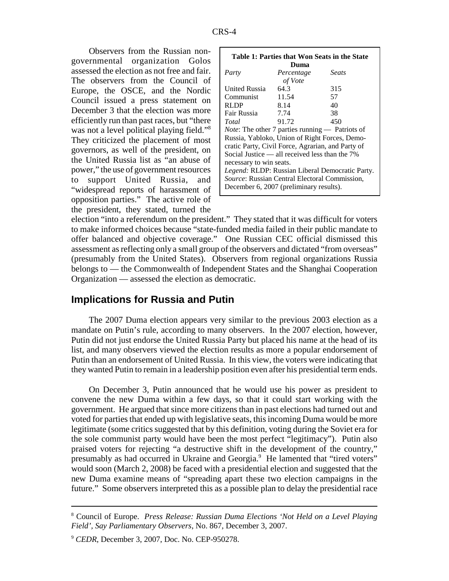Observers from the Russian nongovernmental organization Golos assessed the election as not free and fair. The observers from the Council of Europe, the OSCE, and the Nordic Council issued a press statement on December 3 that the election was more efficiently run than past races, but "there was not a level political playing field."<sup>8</sup> They criticized the placement of most governors, as well of the president, on the United Russia list as "an abuse of power," the use of government resources to support United Russia, and "widespread reports of harassment of opposition parties." The active role of the president, they stated, turned the

| Table 1: Parties that Won Seats in the State           |            |       |
|--------------------------------------------------------|------------|-------|
| Duma                                                   |            |       |
| Party                                                  | Percentage | Seats |
|                                                        | of Vote    |       |
| United Russia                                          | 64.3       | 315   |
| Communist                                              | 11.54      | 57    |
| RLDP                                                   | 8.14       | 40    |
| Fair Russia                                            | 7.74       | 38    |
| Total                                                  | 91.72      | 450   |
| <i>Note:</i> The other 7 parties running — Patriots of |            |       |
| Russia, Yabloko, Union of Right Forces, Demo-          |            |       |
| cratic Party, Civil Force, Agrarian, and Party of      |            |       |
| Social Justice $\equiv$ all received less than the 7%  |            |       |
| necessary to win seats.                                |            |       |
| Legend: RLDP: Russian Liberal Democratic Party.        |            |       |
| Source: Russian Central Electoral Commission,          |            |       |
| December 6, 2007 (preliminary results).                |            |       |
|                                                        |            |       |

election "into a referendum on the president." They stated that it was difficult for voters to make informed choices because "state-funded media failed in their public mandate to offer balanced and objective coverage." One Russian CEC official dismissed this assessment as reflecting only a small group of the observers and dictated "from overseas" (presumably from the United States). Observers from regional organizations Russia belongs to — the Commonwealth of Independent States and the Shanghai Cooperation Organization — assessed the election as democratic.

## **Implications for Russia and Putin**

The 2007 Duma election appears very similar to the previous 2003 election as a mandate on Putin's rule, according to many observers. In the 2007 election, however, Putin did not just endorse the United Russia Party but placed his name at the head of its list, and many observers viewed the election results as more a popular endorsement of Putin than an endorsement of United Russia. In this view, the voters were indicating that they wanted Putin to remain in a leadership position even after his presidential term ends.

On December 3, Putin announced that he would use his power as president to convene the new Duma within a few days, so that it could start working with the government. He argued that since more citizens than in past elections had turned out and voted for parties that ended up with legislative seats, this incoming Duma would be more legitimate (some critics suggested that by this definition, voting during the Soviet era for the sole communist party would have been the most perfect "legitimacy"). Putin also praised voters for rejecting "a destructive shift in the development of the country," presumably as had occurred in Ukraine and Georgia.<sup>9</sup> He lamented that "tired voters" would soon (March 2, 2008) be faced with a presidential election and suggested that the new Duma examine means of "spreading apart these two election campaigns in the future." Some observers interpreted this as a possible plan to delay the presidential race

<sup>8</sup> Council of Europe. *Press Release: Russian Duma Elections 'Not Held on a Level Playing Field', Say Parliamentary Observers*, No. 867, December 3, 2007.

<sup>9</sup> *CEDR*, December 3, 2007, Doc. No. CEP-950278.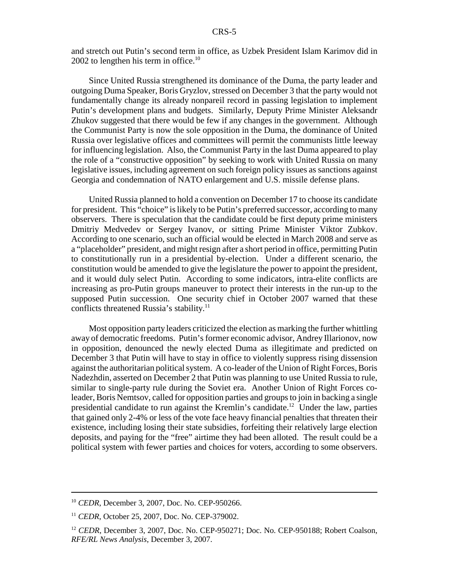and stretch out Putin's second term in office, as Uzbek President Islam Karimov did in 2002 to lengthen his term in office.<sup>10</sup>

Since United Russia strengthened its dominance of the Duma, the party leader and outgoing Duma Speaker, Boris Gryzlov, stressed on December 3 that the party would not fundamentally change its already nonpareil record in passing legislation to implement Putin's development plans and budgets. Similarly, Deputy Prime Minister Aleksandr Zhukov suggested that there would be few if any changes in the government. Although the Communist Party is now the sole opposition in the Duma, the dominance of United Russia over legislative offices and committees will permit the communists little leeway for influencing legislation. Also, the Communist Party in the last Duma appeared to play the role of a "constructive opposition" by seeking to work with United Russia on many legislative issues, including agreement on such foreign policy issues as sanctions against Georgia and condemnation of NATO enlargement and U.S. missile defense plans.

United Russia planned to hold a convention on December 17 to choose its candidate for president. This "choice" is likely to be Putin's preferred successor, according to many observers. There is speculation that the candidate could be first deputy prime ministers Dmitriy Medvedev or Sergey Ivanov, or sitting Prime Minister Viktor Zubkov. According to one scenario, such an official would be elected in March 2008 and serve as a "placeholder" president, and might resign after a short period in office, permitting Putin to constitutionally run in a presidential by-election. Under a different scenario, the constitution would be amended to give the legislature the power to appoint the president, and it would duly select Putin. According to some indicators, intra-elite conflicts are increasing as pro-Putin groups maneuver to protect their interests in the run-up to the supposed Putin succession. One security chief in October 2007 warned that these conflicts threatened Russia's stability.<sup>11</sup>

Most opposition party leaders criticized the election as marking the further whittling away of democratic freedoms. Putin's former economic advisor, Andrey Illarionov, now in opposition, denounced the newly elected Duma as illegitimate and predicted on December 3 that Putin will have to stay in office to violently suppress rising dissension against the authoritarian political system. A co-leader of the Union of Right Forces, Boris Nadezhdin, asserted on December 2 that Putin was planning to use United Russia to rule, similar to single-party rule during the Soviet era. Another Union of Right Forces coleader, Boris Nemtsov, called for opposition parties and groups to join in backing a single presidential candidate to run against the Kremlin's candidate.<sup>12</sup> Under the law, parties that gained only 2-4% or less of the vote face heavy financial penalties that threaten their existence, including losing their state subsidies, forfeiting their relatively large election deposits, and paying for the "free" airtime they had been alloted. The result could be a political system with fewer parties and choices for voters, according to some observers.

<sup>10</sup> *CEDR*, December 3, 2007, Doc. No. CEP-950266.

<sup>&</sup>lt;sup>11</sup> *CEDR*, October 25, 2007, Doc. No. CEP-379002.

<sup>&</sup>lt;sup>12</sup> *CEDR*, December 3, 2007, Doc. No. CEP-950271; Doc. No. CEP-950188; Robert Coalson, *RFE/RL News Analysis*, December 3, 2007.